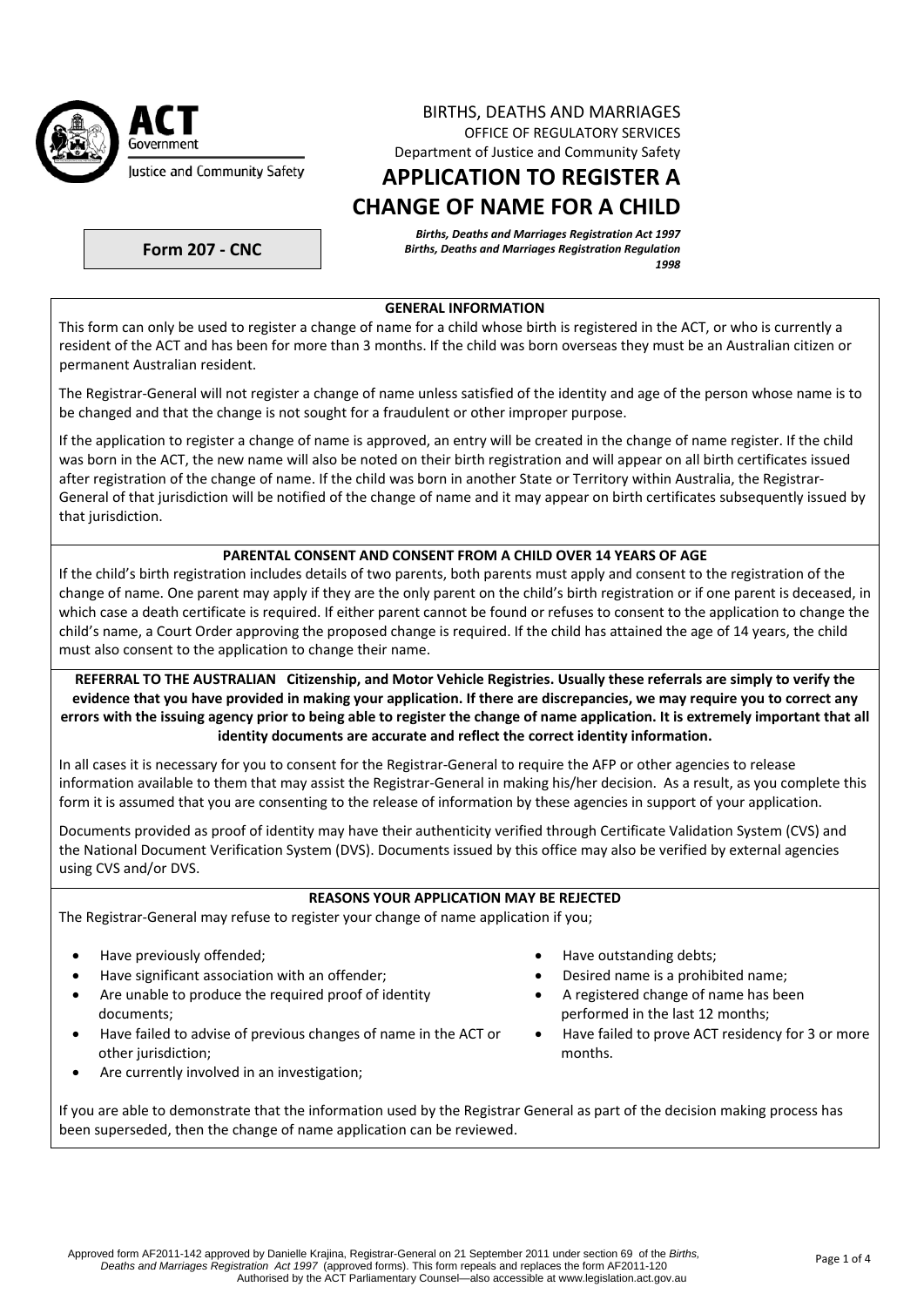

## BIRTHS, DEATHS AND MARRIAGES OFFICE OF REGULATORY SERVICES Department of Justice and Community Safety

# **APPLICATION TO REGISTER A CHANGE OF NAME FOR A CHILD**

*Births, Deaths and Marriages Registration Act 1997 Births, Deaths and Marriages Registration Regulation 1998*

**Form 207 ‐ CNC**

#### **GENERAL INFORMATION**

This form can only be used to register a change of name for a child whose birth is registered in the ACT, or who is currently a resident of the ACT and has been for more than 3 months. If the child was born overseas they must be an Australian citizen or permanent Australian resident.

The Registrar‐General will not register a change of name unless satisfied of the identity and age of the person whose name is to be changed and that the change is not sought for a fraudulent or other improper purpose.

If the application to register a change of name is approved, an entry will be created in the change of name register. If the child was born in the ACT, the new name will also be noted on their birth registration and will appear on all birth certificates issued after registration of the change of name. If the child was born in another State or Territory within Australia, the Registrar-General of that jurisdiction will be notified of the change of name and it may appear on birth certificates subsequently issued by that jurisdiction.

# **PARENTAL CONSENT AND CONSENT FROM A CHILD OVER 14 YEARS OF AGE**

If the child's birth registration includes details of two parents, both parents must apply and consent to the registration of the change of name. One parent may apply if they are the only parent on the child's birth registration or if one parent is deceased, in which case a death certificate is required. If either parent cannot be found or refuses to consent to the application to change the child's name, a Court Order approving the proposed change is required. If the child has attained the age of 14 years, the child must also consent to the application to change their name.

REFERRAL TO THE AUSTRALIAN Citizenship, and Motor Vehicle Registries. Usually these referrals are simply to verify the evidence that you have provided in making your application. If there are discrepancies, we may require you to correct any errors with the issuing agency prior to being able to register the change of name application. It is extremely important that all **identity documents are accurate and reflect the correct identity information.**

In all cases it is necessary for you to consent for the Registrar-General to require the AFP or other agencies to release information available to them that may assist the Registrar-General in making his/her decision. As a result, as you complete this form it is assumed that you are consenting to the release of information by these agencies in support of your application.

Documents provided as proof of identity may have their authenticity verified through Certificate Validation System (CVS) and the National Document Verification System (DVS). Documents issued by this office may also be verified by external agencies using CVS and/or DVS.

# **REASONS YOUR APPLICATION MAY BE REJECTED**

The Registrar‐General may refuse to register your change of name application if you;

- 
- Have significant association with an offender; **Desity and Secure 1** Desired name is a prohibited name;
- Are unable to produce the required proof of identity documents;
- Have failed to advise of previous changes of name in the ACT or other jurisdiction;
- Are currently involved in an investigation;
- Have previously offended; https://www.fave.com/standing debts;
	-
	- A registered change of name has been performed in the last 12 months;
	- Have failed to prove ACT residency for 3 or more months.

If you are able to demonstrate that the information used by the Registrar General as part of the decision making process has been superseded, then the change of name application can be reviewed.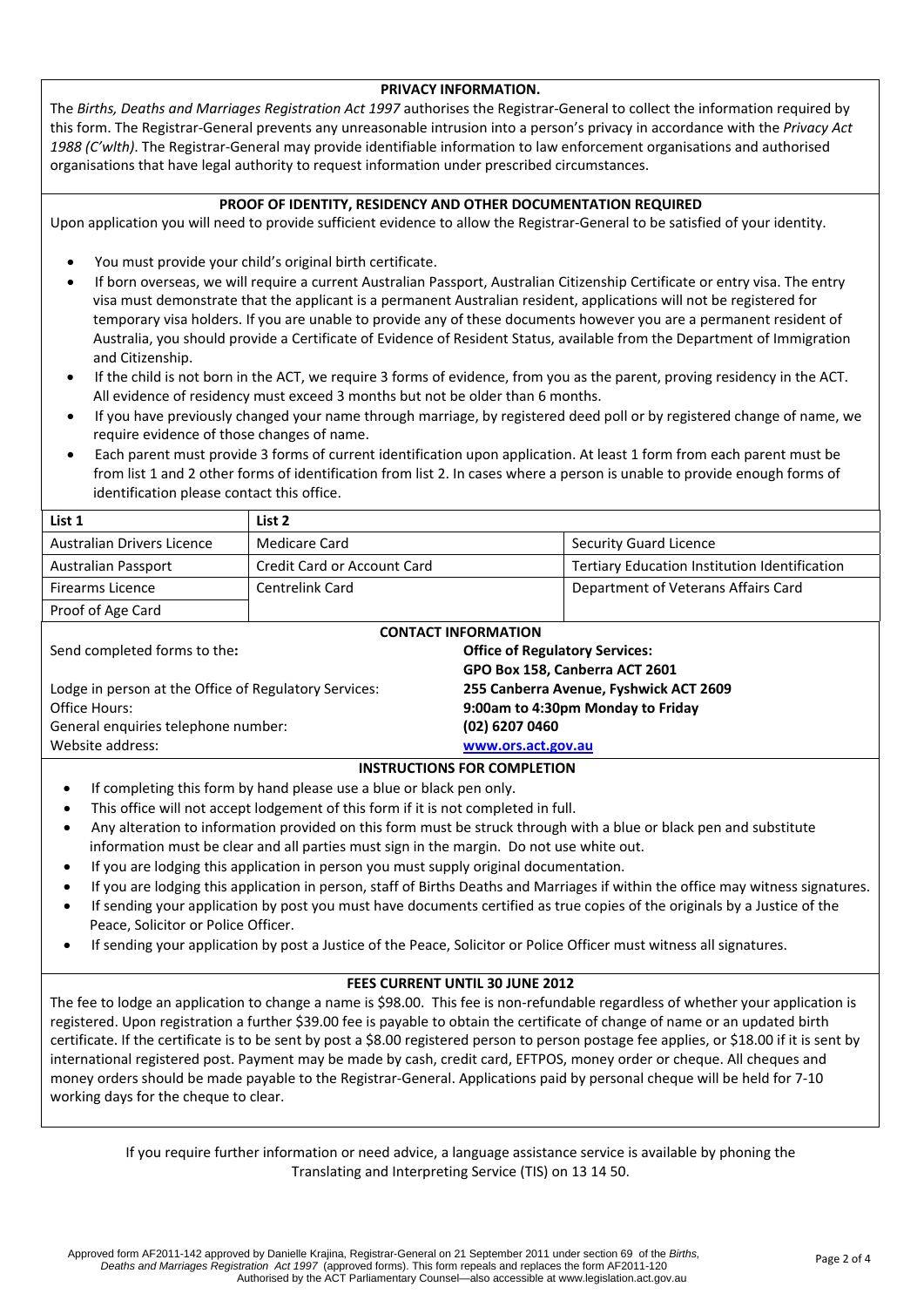#### **PRIVACY INFORMATION.**

The *Births, Deaths and Marriages Registration Act 1997* authorises the Registrar‐General to collect the information required by this form. The Registrar‐General prevents any unreasonable intrusion into a person's privacy in accordance with the *Privacy Act 1988 (C'wlth)*. The Registrar‐General may provide identifiable information to law enforcement organisations and authorised organisations that have legal authority to request information under prescribed circumstances.

#### **PROOF OF IDENTITY, RESIDENCY AND OTHER DOCUMENTATION REQUIRED**

Upon application you will need to provide sufficient evidence to allow the Registrar‐General to be satisfied of your identity.

- You must provide your child's original birth certificate.
- If born overseas, we will require a current Australian Passport, Australian Citizenship Certificate or entry visa. The entry visa must demonstrate that the applicant is a permanent Australian resident, applications will not be registered for temporary visa holders. If you are unable to provide any of these documents however you are a permanent resident of Australia, you should provide a Certificate of Evidence of Resident Status, available from the Department of Immigration and Citizenship.
- If the child is not born in the ACT, we require 3 forms of evidence, from you as the parent, proving residency in the ACT. All evidence of residency must exceed 3 months but not be older than 6 months.
- If you have previously changed your name through marriage, by registered deed poll or by registered change of name, we require evidence of those changes of name.
- Each parent must provide 3 forms of current identification upon application. At least 1 form from each parent must be from list 1 and 2 other forms of identification from list 2. In cases where a person is unable to provide enough forms of identification please contact this office.

| List 1                                                | List 2                      |                                        |                                               |
|-------------------------------------------------------|-----------------------------|----------------------------------------|-----------------------------------------------|
| Australian Drivers Licence                            | Medicare Card               |                                        | <b>Security Guard Licence</b>                 |
| <b>Australian Passport</b>                            | Credit Card or Account Card |                                        | Tertiary Education Institution Identification |
| <b>Firearms Licence</b>                               | Centrelink Card             |                                        | Department of Veterans Affairs Card           |
| Proof of Age Card                                     |                             |                                        |                                               |
| <b>CONTACT INFORMATION</b>                            |                             |                                        |                                               |
| Send completed forms to the:                          |                             | <b>Office of Regulatory Services:</b>  |                                               |
| GPO Box 158, Canberra ACT 2601                        |                             |                                        |                                               |
| Lodge in person at the Office of Regulatory Services: |                             | 255 Canberra Avenue, Fyshwick ACT 2609 |                                               |
| Office Hours:                                         |                             | 9:00am to 4:30pm Monday to Friday      |                                               |
| General enquiries telephone number:                   |                             | (02) 6207 0460                         |                                               |
| Website address:<br>www.ors.act.gov.au                |                             |                                        |                                               |
| <b>INSTRUCTIONS FOR COMPLETION</b>                    |                             |                                        |                                               |

- If completing this form by hand please use a blue or black pen only.
- This office will not accept lodgement of this form if it is not completed in full.
- Any alteration to information provided on this form must be struck through with a blue or black pen and substitute information must be clear and all parties must sign in the margin. Do not use white out.
- If you are lodging this application in person you must supply original documentation.
- If you are lodging this application in person, staff of Births Deaths and Marriages if within the office may witness signatures.
- If sending your application by post you must have documents certified as true copies of the originals by a Justice of the Peace, Solicitor or Police Officer.
- If sending your application by post a Justice of the Peace, Solicitor or Police Officer must witness all signatures.

# **FEES CURRENT UNTIL 30 JUNE 2012**

The fee to lodge an application to change a name is \$98.00. This fee is non-refundable regardless of whether your application is registered. Upon registration a further \$39.00 fee is payable to obtain the certificate of change of name or an updated birth certificate. If the certificate is to be sent by post a \$8.00 registered person to person postage fee applies, or \$18.00 if it is sent by international registered post. Payment may be made by cash, credit card, EFTPOS, money order or cheque. All cheques and money orders should be made payable to the Registrar-General. Applications paid by personal cheque will be held for 7-10 working days for the cheque to clear.

If you require further information or need advice, a language assistance service is available by phoning the Translating and Interpreting Service (TIS) on 13 14 50.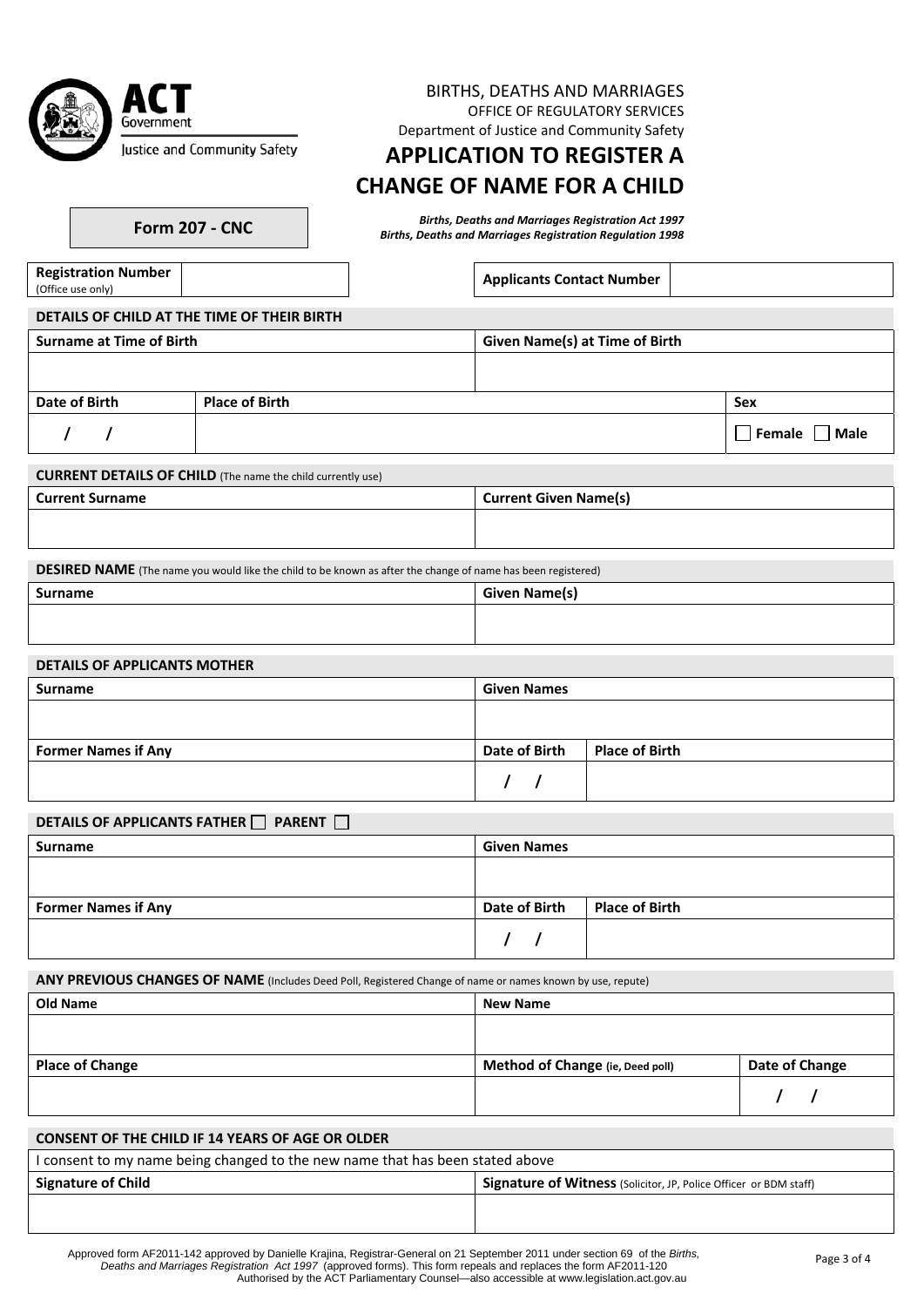| Government                   |
|------------------------------|
| Justice and Community Safety |

#### BIRTHS, DEATHS AND MARRIAGES OFFICE OF REGULATORY SERVICES Department of Justice and Community Safety

**APPLICATION TO REGISTER A**

# **CHANGE OF NAME FOR A CHILD**

Births, Deaths and Marriages Registration Act 1997<br>Births, Deaths and Marriages Registration Regulation 1998

**Registration Number**

**Applicants Contact Number** 

| <b>Surname at Time of Birth</b> |                       | <b>Given Name(s) at Time of Birth</b> |                           |
|---------------------------------|-----------------------|---------------------------------------|---------------------------|
|                                 |                       |                                       |                           |
| Date of Birth                   | <b>Place of Birth</b> |                                       | Sex                       |
|                                 |                       |                                       | $\Box$ Female $\Box$ Male |

**CURRENT DETAILS OF CHILD** (The name the child currently use)

| <b>Current Surname</b> | <b>Current Given Name(s)</b> |
|------------------------|------------------------------|
|                        |                              |
|                        |                              |

|  | DESIRED NAME (The name you would like the child to be known as after the change of name has been registered) |  |
|--|--------------------------------------------------------------------------------------------------------------|--|
|--|--------------------------------------------------------------------------------------------------------------|--|

| Surname | <b>Given Name(s)</b> |
|---------|----------------------|
|         |                      |
|         |                      |

# **DETAILS OF APPLICANTS MOTHER**

| <b>Surname</b>             | <b>Given Names</b>   |                |
|----------------------------|----------------------|----------------|
|                            |                      |                |
|                            |                      |                |
| <b>Former Names if Any</b> | <b>Date of Birth</b> | Place of Birth |
|                            |                      |                |

| <b>DETAILS OF APPLICANTS FATHER ■ PARENT</b> |  |  |
|----------------------------------------------|--|--|
|----------------------------------------------|--|--|

| $-$<br>__                  |                                        |
|----------------------------|----------------------------------------|
| Surname                    | <b>Given Names</b>                     |
|                            |                                        |
|                            |                                        |
| <b>Former Names if Any</b> | Date of Birth<br><b>Place of Birth</b> |
|                            |                                        |

**ANY PREVIOUS CHANGES OF NAME** (Includes Deed Poll, Registered Change of name or names known by use, repute)

| <b>Old Name</b>        | <b>New Name</b>                  |                |
|------------------------|----------------------------------|----------------|
|                        |                                  |                |
|                        |                                  |                |
| <b>Place of Change</b> | Method of Change (ie, Deed poll) | Date of Change |
|                        |                                  |                |

# **CONSENT OF THE CHILD IF 14 YEARS OF AGE OR OLDER**

| I consent to my name being changed to the new name that has been stated above |                                                                          |  |
|-------------------------------------------------------------------------------|--------------------------------------------------------------------------|--|
| <b>Signature of Child</b>                                                     | <b>Signature of Witness</b> (Solicitor, JP, Police Officer or BDM staff) |  |
|                                                                               |                                                                          |  |
|                                                                               |                                                                          |  |